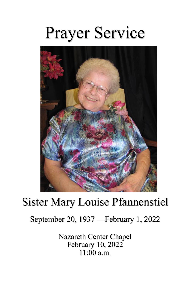# Prayer Service



## Sister Mary Louise Pfannenstiel

### September 20, 1937 —February 1, 2022

Nazareth Center Chapel February 10, 2022 11:00 a.m.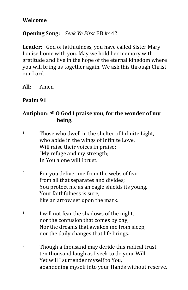#### **Welcome**

#### **Opening Song:** *Seek Ye First* BB #442

**Leader:** God of faithfulness, you have called Sister Mary Louise home with you. May we hold her memory with gratitude and live in the hope of the eternal kingdom where you will bring us together again. We ask this through Christ our Lord.

**All:** Amen

#### **Psalm 91**

#### **Antiphon**: **All O God I praise you, for the wonder of my being.**

| $\mathbf{1}$ | Those who dwell in the shelter of Infinite Light, |
|--------------|---------------------------------------------------|
|              | who abide in the wings of Infinite Love,          |
|              | Will raise their voices in praise:                |
|              | "My refuge and my strength;                       |
|              | In You alone will I trust."                       |

- <sup>2</sup> For you deliver me from the webs of fear, from all that separates and divides; You protect me as an eagle shields its young, Your faithfulness is sure, like an arrow set upon the mark.
- <sup>1</sup> I will not fear the shadows of the night, nor the confusion that comes by day, Nor the dreams that awaken me from sleep, nor the daily changes that life brings.
- <sup>2</sup> Though a thousand may deride this radical trust, ten thousand laugh as I seek to do your Will, Yet will I surrender myself to You, abandoning myself into your Hands without reserve.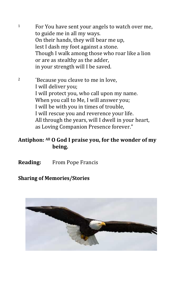- $1$  For You have sent your angels to watch over me, to guide me in all my ways. On their hands, they will bear me up, lest I dash my foot against a stone. Though I walk among those who roar like a lion or are as stealthy as the adder, in your strength will I be saved.
- <sup>2</sup> <sup>"Because you cleave to me in love,</sup> I will deliver you; I will protect you, who call upon my name. When you call to Me, I will answer you; I will be with you in times of trouble, I will rescue you and reverence your life. All through the years, will I dwell in your heart, as Loving Companion Presence forever."

#### **Antiphon: All O God I praise you, for the wonder of my being.**

**Reading:** From Pope Francis

#### **Sharing of Memories/Stories**